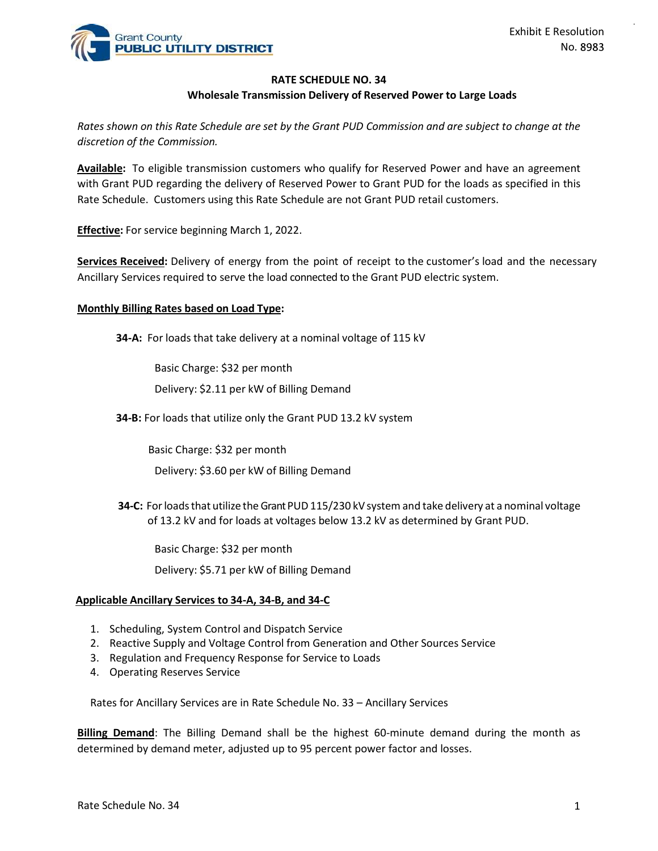

## RATE SCHEDULE NO. 34

#### Wholesale Transmission Delivery of Reserved Power to Large Loads

discretion of the Commission.

Exhibit E Resolution<br>
PUBLIC UTILITY DISTRICT<br>
RATE SCHEDULE NO. 34<br>
RATE SCHEDULE NO. 34<br>
Rates shown on this Rate Schedule are set by the Grant PUD Commission and are subject to change at the<br>
discretion of the Commissio Exhibit E Resolution<br> **Exhibit E Resolution**<br> **RATE SCHEDULE NO. 34**<br> **RATE SCHEDULE NO. 34**<br> **RATE SCHEDULE NO. 34**<br> **RATE SCHEDULE NO. 34**<br> **RATE SCHEDULE NO. 34**<br> **RATE SCHEDULE NO. 34**<br> **RATE SCHEDULE NO. 34**<br> **RATE SC** with Grant PUD regarding the delivery of Reserved Power to Grant PUD for the loads as specified in this Rate Schedule. Customers using this Rate Schedule are not Grant PUD retail customers. Exhibit E Resolution<br>
RATE SCHEDULE NO. 34<br>
Wholesale Transmission Delivery of Reserved Power to Large Loads<br>
Rates shown on this Rate Schedule are set by the Grant PUD Commission and are subject to change at the<br>
discreti EXTRIGENTIME THE SCHEDULE NO. 34<br>
MANCISE THE SCHEDULE NO. 34<br>
MANCISE THE SCHEDULE NO. 34<br>
ARCHES Shown on this Rate Schedule are set by the Grant PUD Commission and are subject to change at the<br>
discretion of the Commiss

**Effective:** For service beginning March 1, 2022.

## Monthly Billing Rates based on Load Type:

34-A: For loads that take delivery at a nominal voltage of 115 kV

Basic Charge: \$32 per month

Delivery: \$2.11 per kW of Billing Demand

34-B: For loads that utilize only the Grant PUD 13.2 kV system

Basic Charge: \$32 per month

Delivery: \$3.60 per kW of Billing Demand

34-C: For loads that utilize the Grant PUD 115/230 kV system and take delivery at a nominal voltage of 13.2 kV and for loads at voltages below 13.2 kV as determined by Grant PUD. Basic Charge: \$32 per month<br>
Delivery: \$2.11 per kW of Billing Demand<br>
34-B: For loads that utilize only the Grant PUD 13.2 kV system<br>
Basic Charge: \$32 per month<br>
Delivery: \$3.60 per kW of Billing Demand<br>
34-C: For loads Delivery: \$2.11 per kW of Billing Demand<br> **34-B:** For loads that utilize only the Grant PUD 13.2 kV system<br>
Basic Charge: \$32 per month<br>
Delivery: \$3.60 per kW of Billing Demand<br> **34-C:** For loads that utilize the Grant PU Delivery: 52.11 per kW of Billing Demand<br>
34-B: For loads that utilize only the Grant PUD 13.2 kV system<br>
Basic Charge: 532 per month<br>
Delivery: 53.60 per kW of Billing Demand<br>
34-C: For loads that utilize the Grant PUD 11

Basic Charge: \$32 per month

Delivery: \$5.71 per kW of Billing Demand

## Applicable Ancillary Services to 34-A, 34-B, and 34-C

- 
- 
- 
- 

Rates for Ancillary Services are in Rate Schedule No. 33 – Ancillary Services

**34-B:** For loads that utilize only the Grant PUD 13.2 kV system<br>
Basic Charge: \$32 per month<br>
Delivery: \$3.60 per kW of Billing Demand<br> **34-C:** For loads that utilize the Grant PUD 115/230 kV system and take deli<br>
of 13.2 Billing Demand: The Billing Demand shall be the highest 60-minute demand during the month as determined by demand meter, adjusted up to 95 percent power factor and losses.